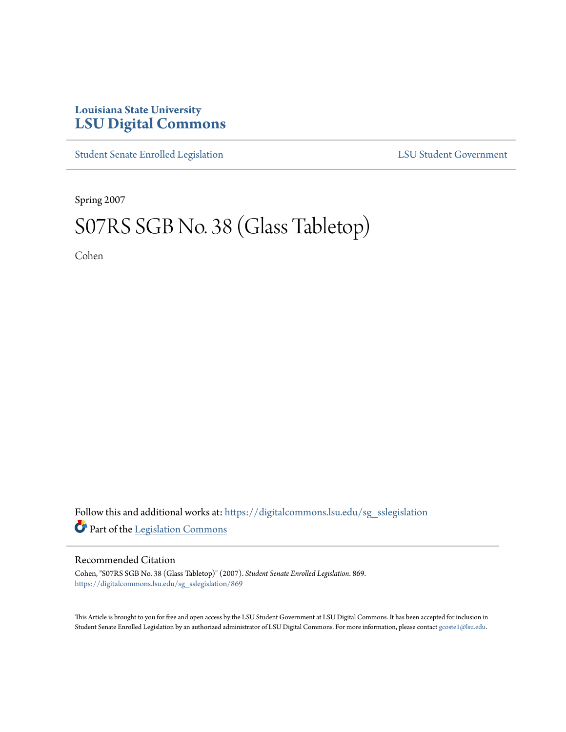## **Louisiana State University [LSU Digital Commons](https://digitalcommons.lsu.edu?utm_source=digitalcommons.lsu.edu%2Fsg_sslegislation%2F869&utm_medium=PDF&utm_campaign=PDFCoverPages)**

[Student Senate Enrolled Legislation](https://digitalcommons.lsu.edu/sg_sslegislation?utm_source=digitalcommons.lsu.edu%2Fsg_sslegislation%2F869&utm_medium=PDF&utm_campaign=PDFCoverPages) [LSU Student Government](https://digitalcommons.lsu.edu/sg?utm_source=digitalcommons.lsu.edu%2Fsg_sslegislation%2F869&utm_medium=PDF&utm_campaign=PDFCoverPages)

Spring 2007

## S07RS SGB No. 38 (Glass Tabletop)

Cohen

Follow this and additional works at: [https://digitalcommons.lsu.edu/sg\\_sslegislation](https://digitalcommons.lsu.edu/sg_sslegislation?utm_source=digitalcommons.lsu.edu%2Fsg_sslegislation%2F869&utm_medium=PDF&utm_campaign=PDFCoverPages) Part of the [Legislation Commons](http://network.bepress.com/hgg/discipline/859?utm_source=digitalcommons.lsu.edu%2Fsg_sslegislation%2F869&utm_medium=PDF&utm_campaign=PDFCoverPages)

## Recommended Citation

Cohen, "S07RS SGB No. 38 (Glass Tabletop)" (2007). *Student Senate Enrolled Legislation*. 869. [https://digitalcommons.lsu.edu/sg\\_sslegislation/869](https://digitalcommons.lsu.edu/sg_sslegislation/869?utm_source=digitalcommons.lsu.edu%2Fsg_sslegislation%2F869&utm_medium=PDF&utm_campaign=PDFCoverPages)

This Article is brought to you for free and open access by the LSU Student Government at LSU Digital Commons. It has been accepted for inclusion in Student Senate Enrolled Legislation by an authorized administrator of LSU Digital Commons. For more information, please contact [gcoste1@lsu.edu.](mailto:gcoste1@lsu.edu)